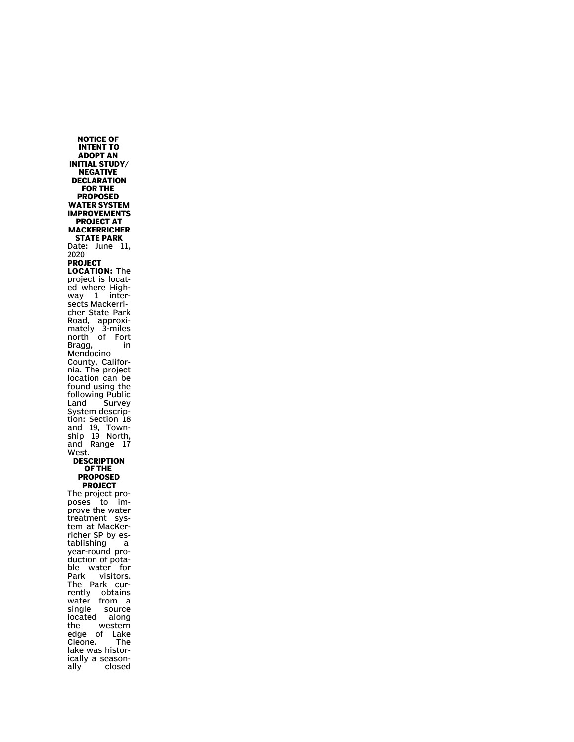**NOTICE OF INTENT TO ADOPT AN INITIAL STUDY/ NEGATIVE DECLARATION FOR THE PROPOSED WATER SYSTEM IMPROVEMENTS PROJECT AT MACKERRICHER STATE PARK** Date: June 11, 2020 **PROJECT LOCATION:** The project is located where Highway 1 intersects Mackerricher State Park Road, approximately 3-miles north of Fort Bragg, in Mendocino County, California. The project location can be found using the following Public Land Survey System description: Section 18 and 19, Township 19 North, and Range 17 West. **DESCRIPTION OF THE PROPOSED PROJECT** The project proposes to improve the water treatment system at MacKerricher SP by establishing a year-round production of potable water for Park visitors. The Park currently obtains water from a single source located along the western edge of Lake Cleone. The lake was historically a seasonclosed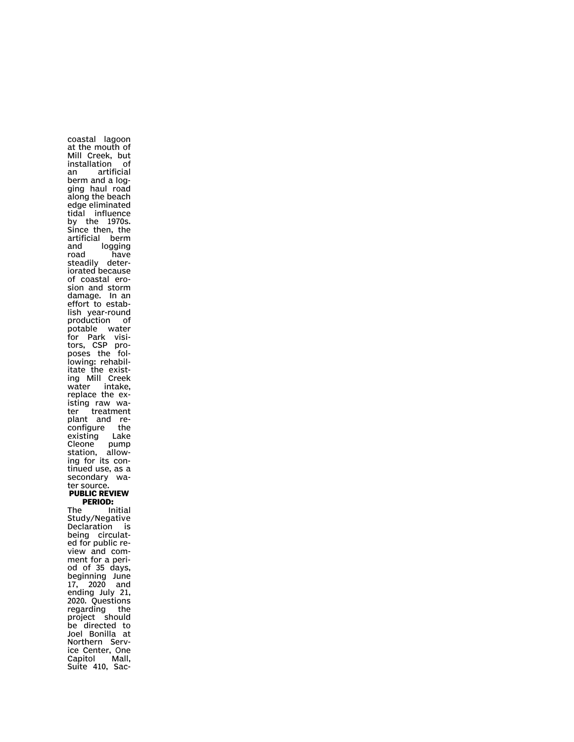at the mouth of Mill Creek, but installation of an artificial berm and a logging haul road along the beach edge eliminated tidal influence by the 1970s. Since then, the artificial berm and logging<br>road have have steadily deteriorated because of coastal erosion and storm damage. In an effort to establish year-round production of potable water for Park visitors, CSP proposes the following: rehabilitate the existing Mill Creek water intake, replace the existing raw water treatment plant and reconfigure the existing Lake Cleone pump station, allowing for its continued use, as a secondary water source. **PUBLIC REVIEW PERIOD:**<br>The In Initial Study/Negative Declaration is being circulated for public review and comment for a period of 35 days, beginning June 17, 2020 and ending July 21, 2020. Questions regarding the project should be directed to Joel Bonilla at Northern Service Center, One Capitol Mall, Suite 410, Sac-

coastal lagoon